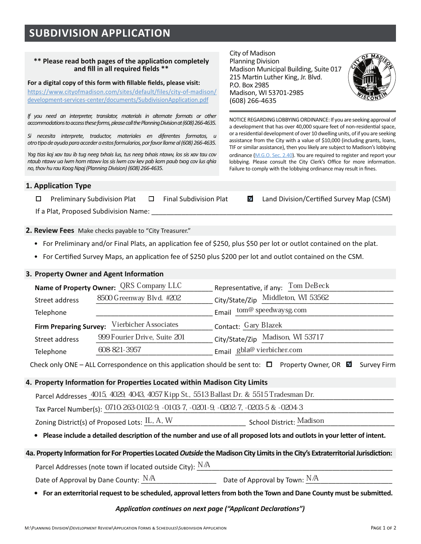# **SUBDIVISION APPLICATION**

#### \*\* Please read both pages of the application completely and fill in all required fields \*\*

#### For a digital copy of this form with fillable fields, please visit:

https://www.cityofmadison.com/sites/default/files/city-of-madison/ development-services-center/documents/SubdivisionApplication.pdf

If you need an interpreter, translator, materials in alternate formats or other accommodations to access these forms, please call the Planning Division at (608) 266-4635.

Si necesita interprete, traductor, materiales en diferentes formatos, u otro tipo de ayuda para acceder a estos formularios, por favor llame al (608) 266-4635.

Yog tias koj xav tau ib tug neeg txhais lus, tus neeg txhais ntawy, los sis xav tau cov ntaub ntawv ua lwm hom ntawv los sis lwm cov kev pab kom paub txog cov lus ghia no, thov hu rau Koog Npaj (Planning Division) (608) 266-4635.

City of Madison **Planning Division** Madison Municipal Building, Suite 017 215 Martin Luther King, Jr. Blvd. P.O. Box 2985 Madison. WI 53701-2985 (608) 266-4635



NOTICE REGARDING LOBBYING ORDINANCE: If you are seeking approval of a development that has over 40,000 square feet of non-residential space, or a residential development of over 10 dwelling units, of if you are seeking assistance from the City with a value of \$10,000 (including grants, loans, TIF or similar assistance), then you likely are subject to Madison's lobbying ordinance (M.G.O. Sec. 2.40). You are required to register and report your lobbying. Please consult the City Clerk's Office for more information. Failure to comply with the lobbying ordinance may result in fines.

**■** Land Division/Certified Survey Map (CSM)

## 1. Application Type

**Final Subdivision Plat**  $\Box$ **Preliminary Subdivision Plat**  $\Box$ 

If a Plat, Proposed Subdivision Name:

2. Review Fees Make checks payable to "City Treasurer."

- For Preliminary and/or Final Plats, an application fee of \$250, plus \$50 per lot or outlot contained on the plat.
- For Certified Survey Maps, an application fee of \$250 plus \$200 per lot and outlot contained on the CSM.

## 3. Property Owner and Agent Information

|                                              | Name of Property Owner: QRS Company LLC | Representative, if any: Tom DeBeck |  |  |
|----------------------------------------------|-----------------------------------------|------------------------------------|--|--|
| Street address                               | 8500 Greenway Blvd. #202                | City/State/Zip Middleton, WI 53562 |  |  |
| Telephone                                    |                                         | Email tom@ speedwaysg.com          |  |  |
| Firm Preparing Survey: Vierbicher Associates |                                         | Contact: Gary Blazek               |  |  |
| Street address                               | 999 Fourier Drive, Suite 201            | City/State/Zip Madison, WI 53717   |  |  |
| Telephone                                    | 608-821-3957                            | Email gbla@ vierbicher.com         |  |  |

Check only ONE – ALL Correspondence on this application should be sent to:  $\Box$  Property Owner, OR  $\Box$  Survey Firm

## 4. Property Information for Properties Located within Madison City Limits

Parcel Addresses 4015, 4029, 4043, 4057 Kipp St., 5513 Ballast Dr. & 5515 Tradesman Dr.

Tax Parcel Number(s): 0710-263-0102-9, -0103-7, -0201-9, -0202-7, -0203-5 & -0204-3

Zoning District(s) of Proposed Lots: IL, A, W **School District: Madison** 

• Please include a detailed description of the number and use of all proposed lots and outlots in your letter of intent.

#### 4a. Property Information for For Properties Located Outside the Madison City Limits in the City's Extraterritorial Jurisdiction:

Parcel Addresses (note town if located outside City):  $N/A$ 

 $\begin{array}{cccc}\n& &\text{Date of Approach by Town: }\mathbb{N}/\mathbb{A}\n\end{array}$ Date of Approval by Dane County:  $N/A$ 

• For an exterritorial request to be scheduled, approval letters from both the Town and Dane County must be submitted.

### Application continues on next page ("Applicant Declarations")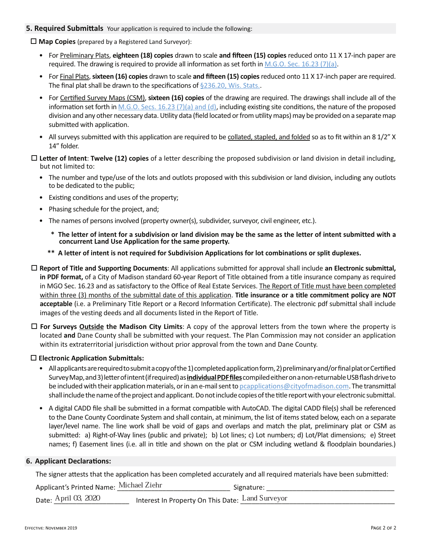## **5. Required Submittals** Your application is required to include the following:

 $\Box$  Map Copies (prepared by a Registered Land Surveyor):

- For Preliminary Plats, eighteen (18) copies drawn to scale and fifteen (15) copies reduced onto 11 X 17-inch paper are required. The drawing is required to provide all information as set forth in M.G.O. Sec. 16.23 (7)(a).
- For Final Plats, sixteen (16) copies drawn to scale and fifteen (15) copies reduced onto 11 X 17-inch paper are required. The final plat shall be drawn to the specifications of §236.20, Wis. Stats..
- For Certified Survey Maps (CSM), sixteen (16) copies of the drawing are required. The drawings shall include all of the information set forth in M.G.O. Secs. 16.23 (7)(a) and (d), including existing site conditions, the nature of the proposed division and any other necessary data. Utility data (field located or from utility maps) may be provided on a separate map submitted with application.
- All surveys submitted with this application are required to be collated, stapled, and folded so as to fit within an 8 1/2" X 14" folder.
- $\Box$  Letter of Intent: Twelve (12) copies of a letter describing the proposed subdivision or land division in detail including, but not limited to:
	- The number and type/use of the lots and outlots proposed with this subdivision or land division, including any outlots to be dedicated to the public;
	- Existing conditions and uses of the property;
	- Phasing schedule for the project, and;
	- The names of persons involved (property owner(s), subdivider, surveyor, civil engineer, etc.).
		- \* The letter of intent for a subdivision or land division may be the same as the letter of intent submitted with a concurrent Land Use Application for the same property.
		- \*\* A letter of intent is not required for Subdivision Applications for lot combinations or split duplexes.
- $\Box$  Report of Title and Supporting Documents: All applications submitted for approval shall include an Electronic submittal, in PDF format, of a City of Madison standard 60-year Report of Title obtained from a title insurance company as required in MGO Sec. 16.23 and as satisfactory to the Office of Real Estate Services. The Report of Title must have been completed within three (3) months of the submittal date of this application. Title insurance or a title commitment policy are NOT acceptable (i.e. a Preliminary Title Report or a Record Information Certificate). The electronic pdf submittal shall include images of the vesting deeds and all documents listed in the Report of Title.
- $\Box$  For Surveys Outside the Madison City Limits: A copy of the approval letters from the town where the property is located and Dane County shall be submitted with your request. The Plan Commission may not consider an application within its extraterritorial jurisdiction without prior approval from the town and Dane County.

# $\square$  Electronic Application Submittals:

- All applicants are required to submit a copy of the 1) completed application form, 2) preliminary and/or final plat or Certified Survey Map, and 3) letter of intent (if required) as *individual PDF files* compiled either on a non-returnable USB flash drive to be included with their application materials, or in an e-mail sent to peapplications@cityofmadison.com. The transmittal shall include the name of the project and applicant. Do not include copies of the title report with your electronic submittal.
- A digital CADD file shall be submitted in a format compatible with AutoCAD. The digital CADD file(s) shall be referenced to the Dane County Coordinate System and shall contain, at minimum, the list of items stated below, each on a separate layer/level name. The line work shall be void of gaps and overlaps and match the plat, preliminary plat or CSM as submitted: a) Right-of-Way lines (public and private); b) Lot lines; c) Lot numbers; d) Lot/Plat dimensions; e) Street names; f) Easement lines (i.e. all in title and shown on the plat or CSM including wetland & floodplain boundaries.)

# **6. Applicant Declarations:**

The signer attests that the application has been completed accurately and all required materials have been submitted:

Applicant's Printed Name: Michael Ziehr Signature:

Date: April 03, 2020 Interest In Property On This Date: Land Surveyor